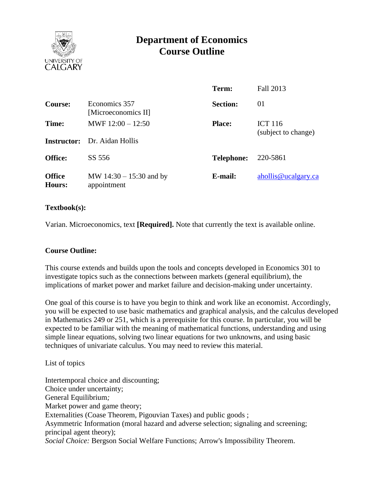

# **Department of Economics Course Outline**

|                         |                                          | Term:             | Fall 2013                             |  |
|-------------------------|------------------------------------------|-------------------|---------------------------------------|--|
| Course:                 | Economics 357<br>[Microeconomics II]     | <b>Section:</b>   | 01                                    |  |
| Time:                   | MWF $12:00 - 12:50$                      | <b>Place:</b>     | <b>ICT 116</b><br>(subject to change) |  |
|                         | <b>Instructor:</b> Dr. Aidan Hollis      |                   |                                       |  |
| <b>Office:</b>          | SS 556                                   | <b>Telephone:</b> | 220-5861                              |  |
| <b>Office</b><br>Hours: | MW $14:30 - 15:30$ and by<br>appointment | E-mail:           | ahollis@ucalgary.ca                   |  |

#### **Textbook(s):**

Varian. Microeconomics, text **[Required].** Note that currently the text is available online.

## **Course Outline:**

This course extends and builds upon the tools and concepts developed in Economics 301 to investigate topics such as the connections between markets (general equilibrium), the implications of market power and market failure and decision-making under uncertainty.

One goal of this course is to have you begin to think and work like an economist. Accordingly, you will be expected to use basic mathematics and graphical analysis, and the calculus developed in Mathematics 249 or 251, which is a prerequisite for this course. In particular, you will be expected to be familiar with the meaning of mathematical functions, understanding and using simple linear equations, solving two linear equations for two unknowns, and using basic techniques of univariate calculus. You may need to review this material.

#### List of topics

Intertemporal choice and discounting; Choice under uncertainty; General Equilibrium*;* Market power and game theory; Externalities (Coase Theorem, Pigouvian Taxes) and public goods ; Asymmetric Information (moral hazard and adverse selection; signaling and screening; principal agent theory); *Social Choice:* Bergson Social Welfare Functions; Arrow's Impossibility Theorem.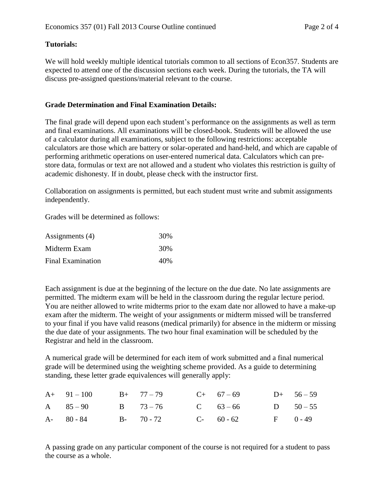# **Tutorials:**

We will hold weekly multiple identical tutorials common to all sections of Econ357. Students are expected to attend one of the discussion sections each week. During the tutorials, the TA will discuss pre-assigned questions/material relevant to the course.

## **Grade Determination and Final Examination Details:**

The final grade will depend upon each student's performance on the assignments as well as term and final examinations. All examinations will be closed-book. Students will be allowed the use of a calculator during all examinations, subject to the following restrictions: acceptable calculators are those which are battery or solar-operated and hand-held, and which are capable of performing arithmetic operations on user-entered numerical data. Calculators which can prestore data, formulas or text are not allowed and a student who violates this restriction is guilty of academic dishonesty. If in doubt, please check with the instructor first.

Collaboration on assignments is permitted, but each student must write and submit assignments independently.

Grades will be determined as follows:

| Assignments (4)   | 30% |
|-------------------|-----|
| Midterm Exam      | 30% |
| Final Examination | 40% |

Each assignment is due at the beginning of the lecture on the due date. No late assignments are permitted. The midterm exam will be held in the classroom during the regular lecture period. You are neither allowed to write midterms prior to the exam date nor allowed to have a make-up exam after the midterm. The weight of your assignments or midterm missed will be transferred to your final if you have valid reasons (medical primarily) for absence in the midterm or missing the due date of your assignments. The two hour final examination will be scheduled by the Registrar and held in the classroom.

A numerical grade will be determined for each item of work submitted and a final numerical grade will be determined using the weighting scheme provided. As a guide to determining standing, these letter grade equivalences will generally apply:

|  | A+ $91-100$ B+ $77-79$ C+ $67-69$ D+ $56-59$ |  |  |
|--|----------------------------------------------|--|--|
|  | A 85-90 B 73-76 C 63-66 D 50-55              |  |  |
|  | A- 80 - 84 B- 70 - 72 C- 60 - 62 F 0 - 49    |  |  |

A passing grade on any particular component of the course is not required for a student to pass the course as a whole.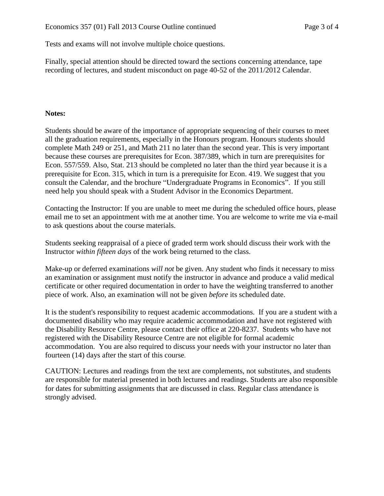Tests and exams will not involve multiple choice questions.

Finally, special attention should be directed toward the sections concerning attendance, tape recording of lectures, and student misconduct on page 40-52 of the 2011/2012 Calendar.

## **Notes:**

Students should be aware of the importance of appropriate sequencing of their courses to meet all the graduation requirements, especially in the Honours program. Honours students should complete Math 249 or 251, and Math 211 no later than the second year. This is very important because these courses are prerequisites for Econ. 387/389, which in turn are prerequisites for Econ. 557/559. Also, Stat. 213 should be completed no later than the third year because it is a prerequisite for Econ. 315, which in turn is a prerequisite for Econ. 419. We suggest that you consult the Calendar, and the brochure "Undergraduate Programs in Economics". If you still need help you should speak with a Student Advisor in the Economics Department.

Contacting the Instructor: If you are unable to meet me during the scheduled office hours, please email me to set an appointment with me at another time. You are welcome to write me via e-mail to ask questions about the course materials.

Students seeking reappraisal of a piece of graded term work should discuss their work with the Instructor *within fifteen days* of the work being returned to the class.

Make-up or deferred examinations *will not* be given. Any student who finds it necessary to miss an examination or assignment must notify the instructor in advance and produce a valid medical certificate or other required documentation in order to have the weighting transferred to another piece of work. Also, an examination will not be given *before* its scheduled date.

It is the student's responsibility to request academic accommodations. If you are a student with a documented disability who may require academic accommodation and have not registered with the Disability Resource Centre, please contact their office at 220-8237. Students who have not registered with the Disability Resource Centre are not eligible for formal academic accommodation. You are also required to discuss your needs with your instructor no later than fourteen (14) days after the start of this course.

CAUTION: Lectures and readings from the text are complements, not substitutes, and students are responsible for material presented in both lectures and readings. Students are also responsible for dates for submitting assignments that are discussed in class. Regular class attendance is strongly advised.